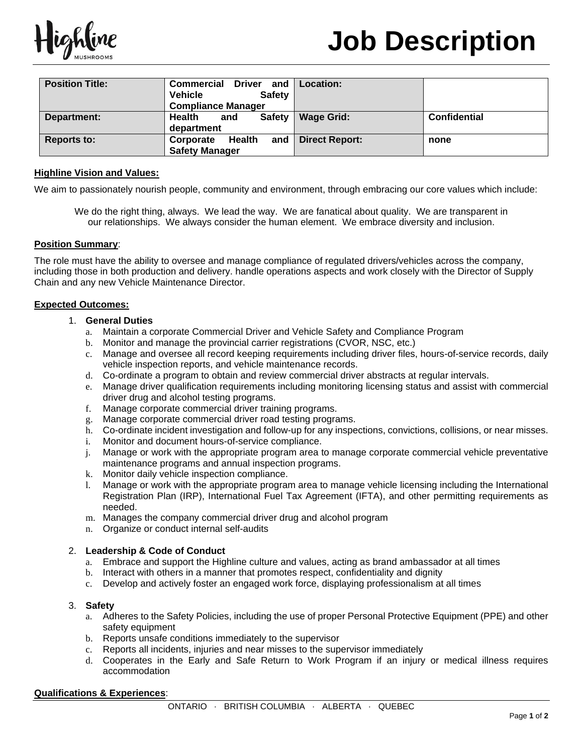

| <b>Position Title:</b> | <b>Commercial Driver</b><br>and<br><b>Vehicle</b><br><b>Safety</b><br><b>Compliance Manager</b> | <b>Location:</b>      |                     |
|------------------------|-------------------------------------------------------------------------------------------------|-----------------------|---------------------|
| Department:            | Health<br><b>Safety</b><br>and<br>department                                                    | <b>Wage Grid:</b>     | <b>Confidential</b> |
| <b>Reports to:</b>     | Health<br>and<br>Corporate<br><b>Safety Manager</b>                                             | <b>Direct Report:</b> | none                |

## **Highline Vision and Values:**

We aim to passionately nourish people, community and environment, through embracing our core values which include:

We do the right thing, always. We lead the way. We are fanatical about quality. We are transparent in our relationships. We always consider the human element. We embrace diversity and inclusion.

#### **Position Summary**:

The role must have the ability to oversee and manage compliance of regulated drivers/vehicles across the company, including those in both production and delivery. handle operations aspects and work closely with the Director of Supply Chain and any new Vehicle Maintenance Director.

### **Expected Outcomes:**

- 1. **General Duties**
	- a. Maintain a corporate Commercial Driver and Vehicle Safety and Compliance Program
	- b. Monitor and manage the provincial carrier registrations (CVOR, NSC, etc.)
	- c. Manage and oversee all record keeping requirements including driver files, hours-of-service records, daily vehicle inspection reports, and vehicle maintenance records.
	- d. Co-ordinate a program to obtain and review commercial driver abstracts at regular intervals.
	- e. Manage driver qualification requirements including monitoring licensing status and assist with commercial driver drug and alcohol testing programs.
	- f. Manage corporate commercial driver training programs.
	- g. Manage corporate commercial driver road testing programs.
	- h. Co-ordinate incident investigation and follow-up for any inspections, convictions, collisions, or near misses.
	- i. Monitor and document hours-of-service compliance.
	- j. Manage or work with the appropriate program area to manage corporate commercial vehicle preventative maintenance programs and annual inspection programs.
	- k. Monitor daily vehicle inspection compliance.
	- l. Manage or work with the appropriate program area to manage vehicle licensing including the International Registration Plan (IRP), International Fuel Tax Agreement (IFTA), and other permitting requirements as needed.
	- m. Manages the company commercial driver drug and alcohol program
	- n. Organize or conduct internal self-audits

### 2. **Leadership & Code of Conduct**

- a. Embrace and support the Highline culture and values, acting as brand ambassador at all times
- b. Interact with others in a manner that promotes respect, confidentiality and dignity
- c. Develop and actively foster an engaged work force, displaying professionalism at all times

### 3. **Safety**

- a. Adheres to the Safety Policies, including the use of proper Personal Protective Equipment (PPE) and other safety equipment
- b. Reports unsafe conditions immediately to the supervisor
- c. Reports all incidents, injuries and near misses to the supervisor immediately
- d. Cooperates in the Early and Safe Return to Work Program if an injury or medical illness requires accommodation

#### **Qualifications & Experiences**: